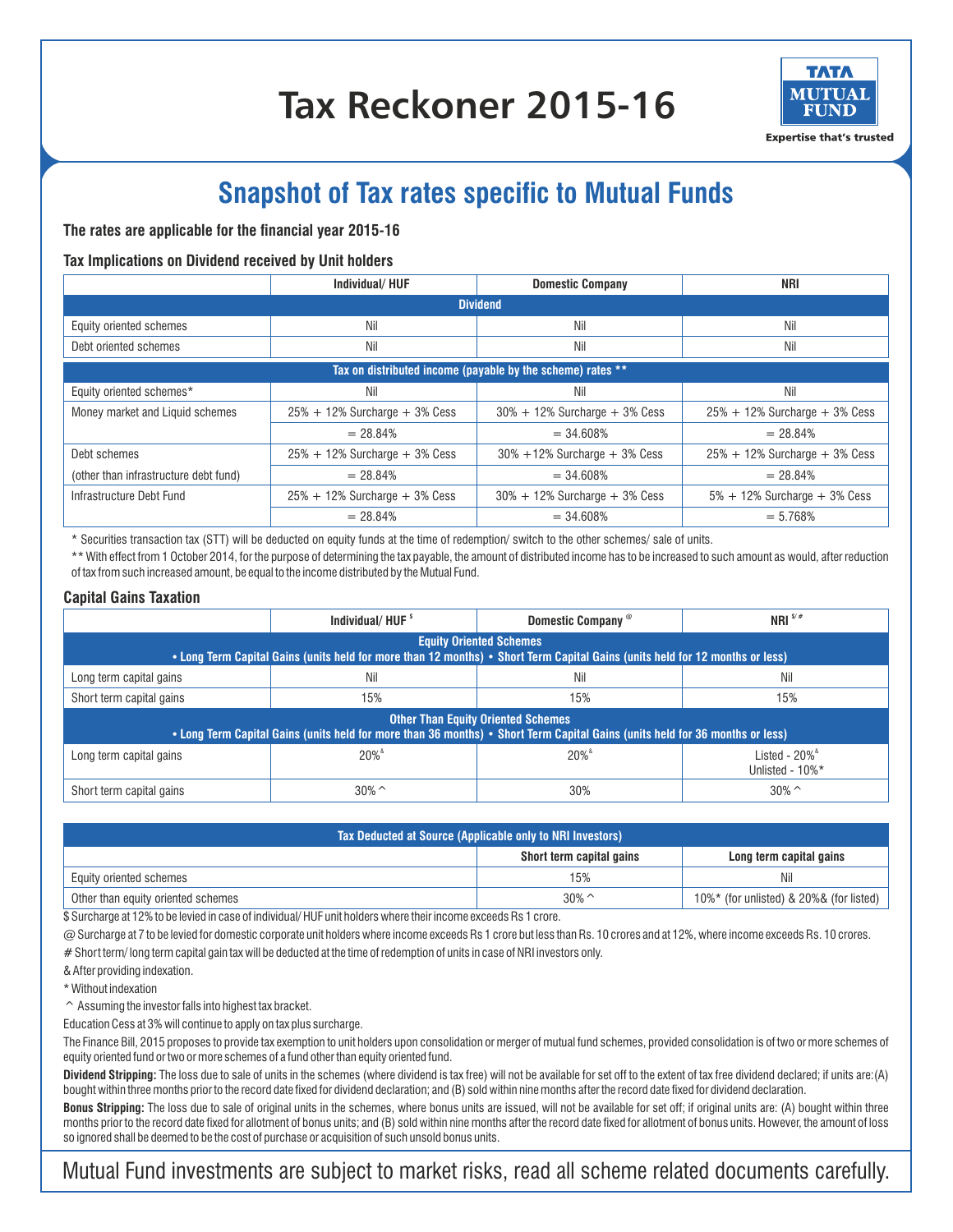# **Tax Reckoner 2015-16**



**Expertise that's trusted** 

## **Snapshot of Tax rates specific to Mutual Funds**

#### **The rates are applicable for the financial year 2015-16**

#### **Tax Implications on Dividend received by Unit holders**

|                                                            | Individual/HUF                       | <b>Domestic Company</b>              | NRI                                  |  |
|------------------------------------------------------------|--------------------------------------|--------------------------------------|--------------------------------------|--|
| <b>Dividend</b>                                            |                                      |                                      |                                      |  |
| Equity oriented schemes                                    | Nil                                  | Nil                                  | Nil                                  |  |
| Debt oriented schemes                                      | Nil                                  | Nil                                  | Nil                                  |  |
| Tax on distributed income (payable by the scheme) rates ** |                                      |                                      |                                      |  |
| Equity oriented schemes*                                   | Nil                                  | Nil                                  | Nil                                  |  |
| Money market and Liquid schemes                            | $25\% + 12\%$ Surcharge $+ 3\%$ Cess | $30\% + 12\%$ Surcharge $+ 3\%$ Cess | $25\% + 12\%$ Surcharge $+ 3\%$ Cess |  |
|                                                            | $= 28.84\%$                          | $= 34.608%$                          | $= 28.84%$                           |  |
| Debt schemes                                               | $25\% + 12\%$ Surcharge $+ 3\%$ Cess | $30\% + 12\%$ Surcharge $+ 3\%$ Cess | $25\% + 12\%$ Surcharge $+ 3\%$ Cess |  |
| (other than infrastructure debt fund)                      | $= 28.84%$                           | $= 34.608%$                          | $= 28.84%$                           |  |
| Infrastructure Debt Fund                                   | $25\% + 12\%$ Surcharge $+ 3\%$ Cess | $30\% + 12\%$ Surcharge + 3% Cess    | $5\% + 12\%$ Surcharge $+ 3\%$ Cess  |  |
|                                                            | $= 28.84%$                           | $= 34.608%$                          | $= 5.768%$                           |  |

\* Securities transaction tax (STT) will be deducted on equity funds at the time of redemption/ switch to the other schemes/ sale of units.

\*\* With effect from 1 October 2014, for the purpose of determining the tax payable, the amount of distributed income has to be increased to such amount as would, after reduction of tax from such increased amount, be equal to the income distributed by the Mutual Fund.

#### **Capital Gains Taxation**

|                                                                                                                                                                           | Individual/HUF <sup>\$</sup> | Domestic Company <sup>®</sup> | NRI $\frac{s}{r}$                                      |  |
|---------------------------------------------------------------------------------------------------------------------------------------------------------------------------|------------------------------|-------------------------------|--------------------------------------------------------|--|
| <b>Equity Oriented Schemes</b><br>. Long Term Capital Gains (units held for more than 12 months) . Short Term Capital Gains (units held for 12 months or less)            |                              |                               |                                                        |  |
| Long term capital gains                                                                                                                                                   | Nil                          | Nil                           | Nil                                                    |  |
| Short term capital gains                                                                                                                                                  | 15%                          | 15%                           | 15%                                                    |  |
| <b>Other Than Equity Oriented Schemes</b><br>• Long Term Capital Gains (units held for more than 36 months) • Short Term Capital Gains (units held for 36 months or less) |                              |                               |                                                        |  |
| Long term capital gains                                                                                                                                                   | $20\%$ <sup>&amp;</sup>      | $20\%$ <sup>&amp;</sup>       | Listed - $20\%$ <sup>&amp;</sup><br>Unlisted - $10\%*$ |  |
| Short term capital gains                                                                                                                                                  | $30\%$ ^                     | 30%                           | $30\%$ ^                                               |  |

| Tax Deducted at Source (Applicable only to NRI Investors) |                          |                                             |  |
|-----------------------------------------------------------|--------------------------|---------------------------------------------|--|
|                                                           | Short term capital gains | Long term capital gains                     |  |
| Equity oriented schemes                                   | 15%                      | Nil                                         |  |
| Other than equity oriented schemes                        | $30\%$ ^                 | $10\%$ * (for unlisted) & 20%& (for listed) |  |

 $$$  Surcharge at 12% to be levied in case of individual/HUF unit holders where their income exceeds Rs 1 crore.

@ Surcharge at 7 to be levied for domestic corporate unit holders where income exceeds Rs 1 crore but less than Rs. 10 crores and at 12%, where income exceeds Rs. 10 crores. # Short term/ long term capital gain tax will be deducted at the time of redemption of units in case of NRI investors only.

& After providing indexation.

\* Without indexation

^ Assuming the investor falls into highest tax bracket.

Education Cess at 3% will continue to apply on tax plus surcharge.

The Finance Bill, 2015 proposes to provide tax exemption to unit holders upon consolidation or merger of mutual fund schemes, provided consolidation is of two or more schemes of equity oriented fund or two or more schemes of a fund other than equity oriented fund.

Dividend Stripping: The loss due to sale of units in the schemes (where dividend is tax free) will not be available for set off to the extent of tax free dividend declared; if units are:(A) bought within three months prior to the record date fixed for dividend declaration; and (B) sold within nine months after the record date fixed for dividend declaration.

**Bonus Stripping:** The loss due to sale of original units in the schemes, where bonus units are issued, will not be available for set off; if original units are: (A) bought within three months prior to the record date fixed for allotment of bonus units; and (B) sold within nine months after the record date fixed for allotment of bonus units. However, the amount of loss so ignored shall be deemed to be the cost of purchase or acquisition of such unsold bonus units.

### Mutual Fund investments are subject to market risks, read all scheme related documents carefully.